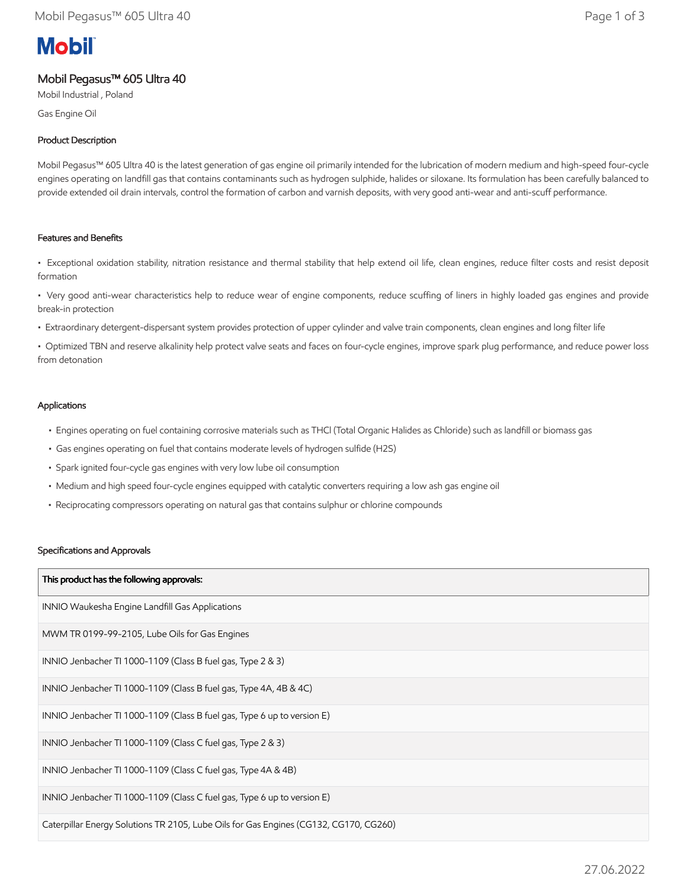# **Mobil**

Mobil Pegasus™ 605 Ultra 40

Mobil Industrial , Poland

Gas Engine Oil

# Product Description

Mobil Pegasus™ 605 Ultra 40 is the latest generation of gas engine oil primarily intended for the lubrication of modern medium and high-speed four-cycle engines operating on landfill gas that contains contaminants such as hydrogen sulphide, halides or siloxane. Its formulation has been carefully balanced to provide extended oil drain intervals, control the formation of carbon and varnish deposits, with very good anti-wear and anti-scuff performance.

## Features and Benefits

• Exceptional oxidation stability, nitration resistance and thermal stability that help extend oil life, clean engines, reduce filter costs and resist deposit formation

• Very good anti-wear characteristics help to reduce wear of engine components, reduce scuffing of liners in highly loaded gas engines and provide break-in protection

• Extraordinary detergent-dispersant system provides protection of upper cylinder and valve train components, clean engines and long filter life

• Optimized TBN and reserve alkalinity help protect valve seats and faces on four-cycle engines, improve spark plug performance, and reduce power loss from detonation

## Applications

- Engines operating on fuel containing corrosive materials such as THCl (Total Organic Halides as Chloride) such as landfill or biomass gas
- Gas engines operating on fuel that contains moderate levels of hydrogen sulfide (H2S)
- Spark ignited four-cycle gas engines with very low lube oil consumption
- Medium and high speed four-cycle engines equipped with catalytic converters requiring a low ash gas engine oil
- Reciprocating compressors operating on natural gas that contains sulphur or chlorine compounds

#### Specifications and Approvals

| This product has the following approvals:                                             |
|---------------------------------------------------------------------------------------|
| INNIO Waukesha Engine Landfill Gas Applications                                       |
| MWM TR 0199-99-2105, Lube Oils for Gas Engines                                        |
| INNIO Jenbacher TI 1000-1109 (Class B fuel gas, Type 2 & 3)                           |
| INNIO Jenbacher TI 1000-1109 (Class B fuel gas, Type 4A, 4B & 4C)                     |
| INNIO Jenbacher TI 1000-1109 (Class B fuel gas, Type 6 up to version E)               |
| INNIO Jenbacher TI 1000-1109 (Class C fuel gas, Type 2 & 3)                           |
| INNIO Jenbacher TI 1000-1109 (Class C fuel gas, Type 4A & 4B)                         |
| INNIO Jenbacher TI 1000-1109 (Class C fuel gas, Type 6 up to version E)               |
| Caterpillar Energy Solutions TR 2105, Lube Oils for Gas Engines (CG132, CG170, CG260) |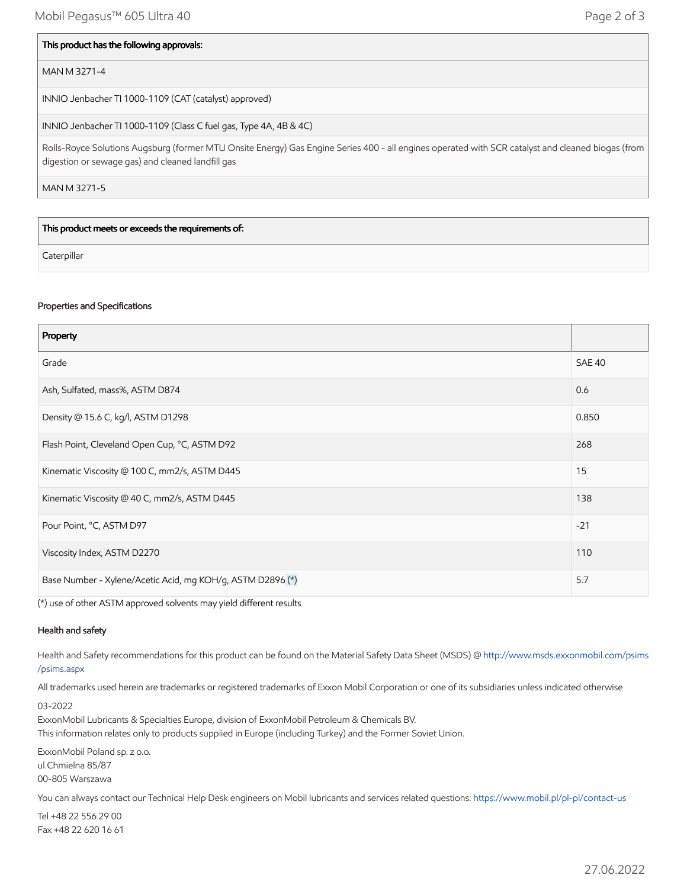#### This product has the following approvals:

## MAN M 3271-4

INNIO Jenbacher TI 1000-1109 (CAT (catalyst) approved)

INNIO Jenbacher TI 1000-1109 (Class C fuel gas, Type 4A, 4B & 4C)

Rolls-Royce Solutions Augsburg (former MTU Onsite Energy) Gas Engine Series 400 - all engines operated with SCR catalyst and cleaned biogas (from digestion or sewage gas) and cleaned landfill gas

MAN M 3271-5

This product meets or exceeds the requirements of:

**Caterpillar** 

#### Properties and Specifications

| Property                                                   |               |
|------------------------------------------------------------|---------------|
| Grade                                                      | <b>SAE 40</b> |
| Ash, Sulfated, mass%, ASTM D874                            | 0.6           |
| Density @ 15.6 C, kg/l, ASTM D1298                         | 0.850         |
| Flash Point, Cleveland Open Cup, °C, ASTM D92              | 268           |
| Kinematic Viscosity @ 100 C, mm2/s, ASTM D445              | 15            |
| Kinematic Viscosity @ 40 C, mm2/s, ASTM D445               | 138           |
| Pour Point, °C, ASTM D97                                   | $-21$         |
| Viscosity Index, ASTM D2270                                | 110           |
| Base Number - Xylene/Acetic Acid, mg KOH/g, ASTM D2896 (*) | 5.7           |

(\*) use of other ASTM approved solvents may yield different results

#### Health and safety

Health and Safety recommendations for this product can be found on the Material Safety Data Sheet (MSDS) @ [http://www.msds.exxonmobil.com/psims](http://www.msds.exxonmobil.com/psims/psims.aspx) /psims.aspx

All trademarks used herein are trademarks or registered trademarks of Exxon Mobil Corporation or one of its subsidiaries unless indicated otherwise

03-2022

ExxonMobil Lubricants & Specialties Europe, division of ExxonMobil Petroleum & Chemicals BV.

This information relates only to products supplied in Europe (including Turkey) and the Former Soviet Union.

ExxonMobil Poland sp. z o.o. ul.Chmielna 85/87 00-805 Warszawa

You can always contact our Technical Help Desk engineers on Mobil lubricants and services related questions:<https://www.mobil.pl/pl-pl/contact-us>

Tel +48 22 556 29 00 Fax +48 22 620 16 61